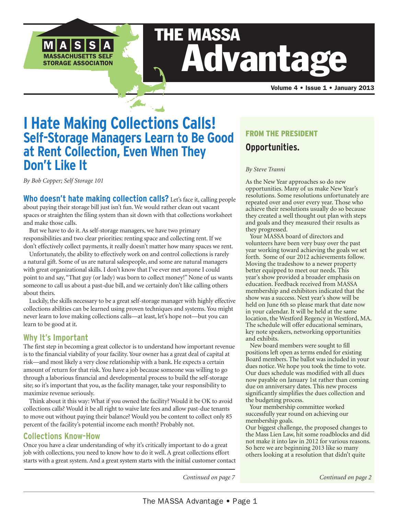

# THE MASSA Advantage

Volume 4 • Issue 1 • January 2013

### **I Hate Making Collections Calls! Self-Storage Managers Learn to Be Good at Rent Collection, Even When They Don't Like It**

*By Bob Copper; Self Storage 101*

**Who doesn't hate making collection calls?** Let's face it, calling people about paying their storage bill just isn't fun. We would rather clean out vacant spaces or straighten the filing system than sit down with that collections worksheet and make those calls.

 But we have to do it. As self-storage managers, we have two primary responsibilities and two clear priorities: renting space and collecting rent. If we don't effectively collect payments, it really doesn't matter how many spaces we rent.

 Unfortunately, the ability to effectively work on and control collections is rarely a natural gift. Some of us are natural salespeople, and some are natural managers with great organizational skills. I don't know that I've ever met anyone I could point to and say, "That guy (or lady) was born to collect money!" None of us wants someone to call us about a past-due bill, and we certainly don't like calling others about theirs.

 Luckily, the skills necessary to be a great self-storage manager with highly effective collections abilities can be learned using proven techniques and systems. You might never learn to love making collections calls—at least, let's hope not—but you can learn to be good at it.

### **Why It's Important**

The first step in becoming a great collector is to understand how important revenue is to the financial viability of your facility. Your owner has a great deal of capital at risk—and most likely a very close relationship with a bank. He expects a certain amount of return for that risk. You have a job because someone was willing to go through a laborious financial and developmental process to build the self-storage site; so it's important that you, as the facility manager, take your responsibility to maximize revenue seriously.

 Think about it this way: What if you owned the facility? Would it be OK to avoid collections calls? Would it be all right to waive late fees and allow past-due tenants to move out without paying their balance? Would you be content to collect only 85 percent of the facility's potential income each month? Probably not.

### **Collections Know-How**

Once you have a clear understanding of why it's critically important to do a great job with collections, you need to know how to do it well. A great collections effort starts with a great system. And a great system starts with the initial customer contact

### FROM THE PRESIDENT **Opportunities.**

### *By Steve Tranni*

As the New Year approaches so do new opportunities. Many of us make New Year's resolutions. Some resolutions unfortunately are repeated over and over every year. Those who achieve their resolutions usually do so because they created a well thought out plan with steps and goals and they measured their results as they progressed.

 Your MASSA board of directors and volunteers have been very busy over the past year working toward achieving the goals we set forth. Some of our 2012 achievements follow. Moving the tradeshow to a newer property better equipped to meet our needs. This year's show provided a broader emphasis on education. Feedback received from MASSA membership and exhibitors indicated that the show was a success. Next year's show will be held on June 6th so please mark that date now in your calendar. It will be held at the same location, the Westford Regency in Westford, MA. The schedule will offer educational seminars, key note speakers, networking opportunities and exhibits.

 New board members were sought to fill positions left open as terms ended for existing Board members. The ballot was included in your dues notice. We hope you took the time to vote. Our dues schedule was modified with all dues now payable on January 1st rather than coming due on anniversary dates. This new process significantly simplifies the dues collection and the budgeting process.

 Your membership committee worked successfully year round on achieving our membership goals.

Our biggest challenge, the proposed changes to the Mass Lien Law, hit some roadblocks and did not make it into law in 2012 for various reasons. So here we are beginning 2013 like so many others looking at a resolution that didn't quite

*Continued on page 7*

*Continued on page 2*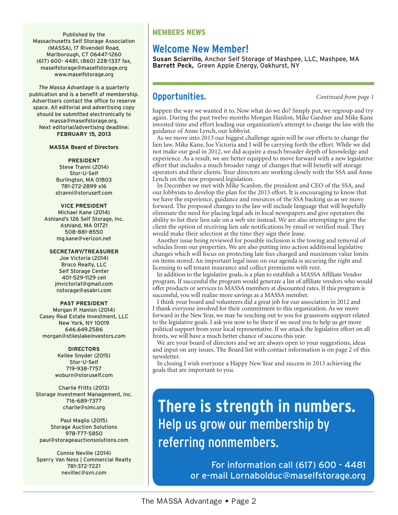Published by the Massachusetts Self Storage Association (MASSA), 17 Rivendell Road, Marlborough, CT 06447-1260 (617) 600- 4481, (860) 228-1337 fax, maselfstorage@maselfstorage.org www.maselfstorage.org

*The Massa Advantage* is a quarterly publication and is a benefit of membership. Advertisers contact the office to reserve space. All editorial and advertising copy should be submitted electronically to massa@maselfstorage.org. Next editorial/advertising deadline: **FEBRUARY 15, 2013**

#### **MASSA Board of Directors**

#### **PRESIDENT**

Steve Tranni (2014) Stor-U-Self Burlington, MA 01803 781-272-2899 x16 stranni@storuself.com

#### **VICE PRESIDENT**

Michael Kane (2014) Ashland's 126 Self Storage, Inc. Ashland, MA 01721 508-881-8550 mg.kane@verizon.net

#### **SECRETARY/TREASURER**

Joe Victoria (2014) Broco Realty, LLC Self Storage Center 401-529-1129 cell jmvictoria1@gmail.com nstorage@asabri.com

#### **PAST PRESIDENT**

Morgan P. Hanlon (2014) Casey Real Estate Investment, LLC New York, NY 10019 646.649.2586 morgan@stileslakeinvestors.com

#### **DIRECTORS**

Kellee Snyder (2015) Stor-U-Self 719-938-7757 woburn@storuself.com

Charlie Fritts (2013) Storage Investment Management, Inc. 716-689-7377 charlie@simi.org

Paul Maglio (2015) Storage Auction Solutions 978-777-5850 paul@storageauctionsolutions.com

Connie Neville (2014) Sperry Van Ness | Commercial Realty 781-372-7221 nevillec@svn.com

### MEMBERS NEWS

### **Welcome New Member!**

**Susan Sciarrillo,** Anchor Self Storage of Mashpee, LLC, Mashpee, MA **Barrett Peck,** Green Apple Energy, Oakhurst, NY

### **Opportunities.** *Continued from page 1*

happen the way we wanted it to. Now what do we do? Simply put, we regroup and try again. During the past twelve months Morgan Hanlon, Mike Gardner and Mike Kane invested time and effort leading our organization's attempt to change the law with the guidance of Anne Lynch, our lobbyist.

 As we move into 2013 our biggest challenge again will be our efforts to change the lien law. Mike Kane, Joe Victoria and I will be carrying forth the effort. While we did not make our goal in 2012, we did acquire a much broader depth of knowledge and experience. As a result, we are better equipped to move forward with a new legislative effort that includes a much broader range of changes that will benefit self storage operators and their clients. Your directors are working closely with the SSA and Anne Lynch on the new proposed legislation.

 In December we met with Mike Scanlon, the president and CEO of the SSA, and our lobbyists to develop the plan for the 2013 effort. It is encouraging to know that we have the experience, guidance and resources of the SSA backing us as we move forward. The proposed changes to the law will include language that will hopefully eliminate the need for placing legal ads in local newspapers and give operators the ability to list their lien sale on a web site instead. We are also attempting to give the client the option of receiving lien sale notifications by email or verified mail. They would make their selection at the time they sign their lease.

 Another issue being reviewed for possible inclusion is the towing and removal of vehicles from our properties. We are also putting into action additional legislative changes which will focus on protecting late fees charged and maximum value limits on items stored. An important legal issue on our agenda is securing the right and licensing to sell tenant insurance and collect premiums with rent.

 In addition to the legislative goals, is a plan to establish a MASSA Affiliate Vendor program. If successful the program would generate a list of affiliate vendors who would offer products or services to MASSA members at discounted rates. If this program is successful, you will realize more savings as a MASSA member.

 I think your board and volunteers did a great job for our association in 2012 and I thank everyone involved for their commitment to this organization. As we move forward in the New Year, we may be reaching out to you for grassroots support related to the legislative goals. I ask you now to be there if we need you to help us get more political support from your local representative. If we attack the legislative effort on all fronts, we will have a much better chance of success this year.

 We are your board of directors and we are always open to your suggestions, ideas and input on any issues. The Board list with contact information is on page 2 of this newsletter.

 In closing I wish everyone a Happy New Year and success in 2013 achieving the goals that are important to you.

## **There is strength in numbers.**  Help us grow our membership by referring nonmembers.

For information call (617) 600 - 4481 or e-mail Lornabolduc@maselfstorage.org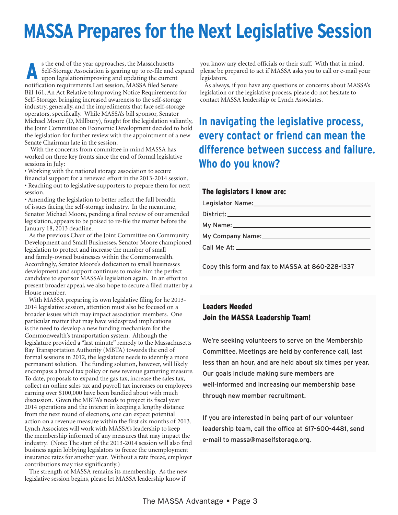# **MASSA Prepares for the Next Legislative Session**

s the end of the year approaches, the Massachusetts Self-Storage Association is gearing up to re-file and expand upon legislationimproving and updating the current notification requirements.Last session, MASSA filed Senate Bill 161, An Act Relative toImproving Notice Requirements for Self-Storage, bringing increased awareness to the self-storage industry, generally, and the impediments that face self-storage operators, specifically. While MASSA's bill sponsor, Senator Michael Moore (D, Millbury), fought for the legislation valiantly, the Joint Committee on Economic Development decided to hold the legislation for further review with the appointment of a new Senate Chairman late in the session. **A**

 With the concerns from committee in mind MASSA has worked on three key fronts since the end of formal legislative sessions in July:

• Working with the national storage association to secure financial support for a renewed effort in the 2013-2014 session. • Reaching out to legislative supporters to prepare them for next session.

• Amending the legislation to better reflect the full breadth of issues facing the self-storage industry. In the meantime, Senator Michael Moore, pending a final review of our amended legislation, appears to be poised to re-file the matter before the January 18, 2013 deadline.

 As the previous Chair of the Joint Committee on Community Development and Small Businesses, Senator Moore championed legislation to protect and increase the number of small and family-owned businesses within the Commonwealth. Accordingly, Senator Moore's dedication to small businesses development and support continues to make him the perfect candidate to sponsor MASSA's legislation again. In an effort to present broader appeal, we also hope to secure a filed matter by a House member.

 With MASSA preparing its own legislative filing for he 2013- 2014 legislative session, attention must also be focused on a broader issues which may impact association members. One particular matter that may have widespread implications is the need to develop a new funding mechanism for the Commonwealth's transportation system. Although the legislature provided a "last minute" remedy to the Massachusetts Bay Transportation Authority (MBTA) towards the end of formal sessions in 2012, the legislature needs to identify a more permanent solution. The funding solution, however, will likely encompass a broad tax policy or new revenue garnering measure. To date, proposals to expand the gas tax, increase the sales tax, collect an online sales tax and payroll tax increases on employees earning over \$100,000 have been bandied about with much discussion. Given the MBTA's needs to project its fiscal year 2014 operations and the interest in keeping a lengthy distance from the next round of elections, one can expect potential action on a revenue measure within the first six months of 2013. Lynch Associates will work with MASSA's leadership to keep the membership informed of any measures that may impact the industry. (Note: The start of the 2013-2014 session will also find business again lobbying legislators to freeze the unemployment insurance rates for another year. Without a rate freeze, employer contributions may rise significantly.)

 The strength of MASSA remains its membership. As the new legislative session begins, please let MASSA leadership know if

you know any elected officials or their staff. With that in mind, please be prepared to act if MASSA asks you to call or e-mail your legislators.

 As always, if you have any questions or concerns about MASSA's legislation or the legislative process, please do not hesitate to contact MASSA leadership or Lynch Associates.

### **In navigating the legislative process, every contact or friend can mean the difference between success and failure. Who do you know?**

### The legislators I know are:

Copy this form and fax to MASSA at 860-228-1337

### Leaders Needed Join the MASSA Leadership Team!

We're seeking volunteers to serve on the Membership Committee. Meetings are held by conference call, last less than an hour, and are held about six times per year. Our goals include making sure members are well-informed and increasing our membership base through new member recruitment.

If you are interested in being part of our volunteer leadership team, call the office at 617-600-4481, send e-mail to massa@maselfstorage.org.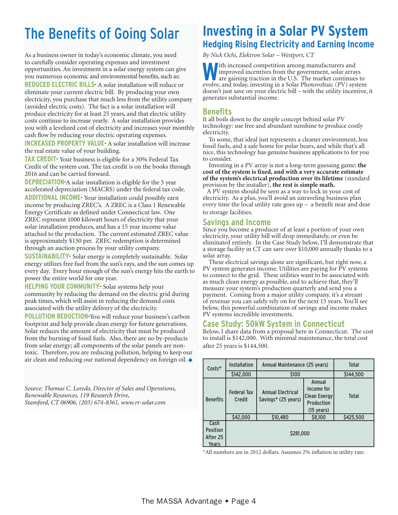# The Benefits of Going Solar

As a business owner in today's economic climate, you need to carefully consider operating expenses and investment opportunities. An investment in a solar energy system can give you numerous economic and environmental benefits, such as: **REDUCED ELECTRIC BILLS**- A solar installation will reduce or eliminate your current electric bill. By producing your own electricity, you purchase that much less from the utility company (avoided electric costs). The fact is a solar installation will produce electricity for at least 25 years, and that electric utility costs continue to increase yearly. A solar installation provides you with a levelized cost of electricity and increases your monthly cash flow by reducing your electric operating expenses.

**INCREASED PROPERTY VALUE**- A solar installation will increase the real estate value of your building.

**TAX CREDIT**- Your business is eligible for a 30% Federal Tax Credit of the system cost. The tax credit is on the books through 2016 and can be carried forward.

**DEPRECIATION**-A solar installation is eligible for the 5 year accelerated depreciation (MACRS) under the federal tax code. **ADDITIONAL INCOME**- Your installation could possibly earn income by producing ZREC's. A ZREC is a Class 1 Renewable Energy Certificate as defined under Connecticut law. One ZREC represent 1000 kilowatt hours of electricity that your solar installation produces, and has a 15 year income value attached to the production. The current estimated ZREC value is approximately \$150 per. ZREC redemption is determined through an auction process by your utility company.

**SUSTAINABILITY**- Solar energy is completely sustainable. Solar energy utilizes free fuel from the sun's rays, and the sun comes up every day. Every hour enough of the sun's energy hits the earth to power the entire world for one year.

**HELPING YOUR COMMUNITY**- Solar systems help your community by reducing the demand on the electric grid during peak times, which will assist in reducing the demand costs associated with the utility delivery of the electricity.

**POLLUTION REDUCTION**-You will reduce your business's carbon footprint and help provide clean energy for future generations. Solar reduces the amount of electricity that must be produced from the burning of fossil fuels. Also, there are no by-products from solar energy; all components of the solar panels are nontoxic. Therefore, you are reducing pollution, helping to keep our air clean and reducing our national dependency on foreign oil.  $\blacklozenge$ 

*Source: Thomas C. Loredo, Director of Sales and Operations, Renewable Resources, 119 Research Drive, Stamford, CT 06906, (203) 674-8361, www.rr-solar.com*

### **Investing in a Solar PV System Hedging Rising Electricity and Earning Income**

*By Nick Ochi, Elektron Solar – Westport, CT* 

**W**ith increased competition among manufacturers and improved incentives from the government, solar arrays are gaining traction in the U.S. The market continues to evolve, and today, investing in a Solar Photovoltaic (PV) system doesn't just save on your electric bill – with the utility incentive, it generates substantial income.

### **Benefits**

It all boils down to the simple concept behind solar PV technology: use free and abundant sunshine to produce costly electricity.

 To some, that ideal just represents a cleaner environment, less fossil fuels, and a safe home for polar bears, and while that's all nice, this technology has genuine business applications to for you to consider.

 Investing in a PV array is not a long-term guessing game: **the cost of the system is fixed, and with a very accurate estimate of the system's electrical production over its lifetime** (standard provision by the installer), **the rest is simple math.**

 A PV system should be seen as a way to lock in your cost of electricity. As a plus, you'll avoid an unraveling business plan every time the local utility rate goes  $up - a$  benefit near and dear to storage facilities.

### **Savings and Income**

Since you become a producer of at least a portion of your own electricity, your utility bill will drop immediately, or even be eliminated entirely. In the Case Study below, I'll demonstrate that a storage facility in CT can save over \$10,000 annually thanks to a solar array.

 These electrical savings alone are significant, but right now, a PV system generates income. Utilities are paying for PV systems to connect to the grid. These utilities want to be associated with as much clean energy as possible, and to achieve that, they'll measure your system's production quarterly and send you a payment. Coming from a major utility company, it's a stream of revenue you can safely rely on for the next 15 years. You'll see below, this powerful combination of savings and income makes PV systems incredible investments.

### **Case Study: 50kW System in Connecticut**

Below, I share data from a proposal here in Connecticut. The cost to install is \$142,000. With minimal maintenance, the total cost after 25 years is \$144,500.

| Costs*                                       | Installation                 | Annual Maintenance (25 years)                   |                                                                              | <b>Total</b> |
|----------------------------------------------|------------------------------|-------------------------------------------------|------------------------------------------------------------------------------|--------------|
|                                              | \$142,000                    | \$100                                           |                                                                              | \$144,500    |
| <b>Benefits</b>                              | <b>Federal Tax</b><br>Credit | <b>Annual Electrical</b><br>Savings* (25 years) | Annual<br>Income for<br> Clean Energy <br>Production<br>$(15 \text{ years})$ | <b>Total</b> |
|                                              | \$42,000                     | \$10,480                                        | \$8,100                                                                      | \$425,500    |
| Cash<br><b>Position</b><br>After 25<br>Years | \$281,000                    |                                                 |                                                                              |              |

\*All numbers are in 2012 dollars. Assumes 2% inflation in utility rate.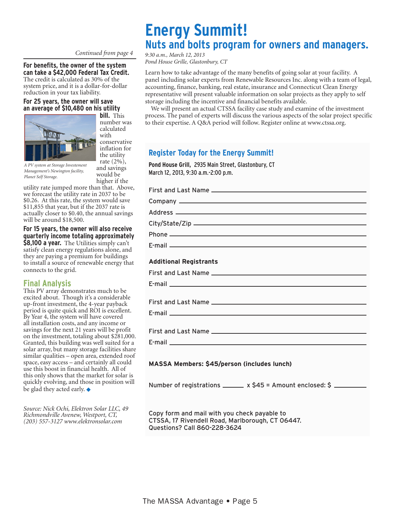### *Continued from page 4*

### **For benefits, the owner of the system**

**can take a \$42,000 Federal Tax Credit.**  The credit is calculated as 30% of the system price, and it is a dollar-for-dollar reduction in your tax liability.

### **For 25 years, the owner will save an average of \$10,480 on his utility**



**bill.** This number was calculated with conservative inflation for the utility rate (2%), and savings would be higher if the

*A PV system at Storage Investement Management's Newington facility, Planet Self Storage.*

utility rate jumped more than that. Above, we forecast the utility rate in 2037 to be \$0.26. At this rate, the system would save \$11,855 that year, but if the 2037 rate is actually closer to \$0.40, the annual savings will be around \$18,500.

**For 15 years, the owner will also receive quarterly income totaling approximately \$8,100 a year.** The Utilities simply can't satisfy clean energy regulations alone, and they are paying a premium for buildings to install a source of renewable energy that connects to the grid.

### **Final Analysis**

This PV array demonstrates much to be excited about. Though it's a considerable up-front investment, the 4-year payback period is quite quick and ROI is excellent. By Year 4, the system will have covered all installation costs, and any income or savings for the next 21 years will be profit on the investment, totaling about \$281,000. Granted, this building was well suited for a solar array, but many storage facilities share similar qualities – open area, extended roof space, easy access – and certainly all could use this boost in financial health. All of this only shows that the market for solar is quickly evolving, and those in position will be glad they acted early.  $\blacklozenge$ 

*Source: Nick Ochi, Elektron Solar LLC, 49 Richmondville Avenew, Westport, CT, (203) 557-3127 www.elektronsolar.com*

### **Energy Summit! Nuts and bolts program for owners and managers.**

*9:30 a.m., March 12, 2013 Pond House Grille, Glastonbury, CT*

Learn how to take advantage of the many benefits of going solar at your facility. A panel including solar experts from Renewable Resources Inc. along with a team of legal, accounting, finance, banking, real estate, insurance and Connecticut Clean Energy representative will present valuable information on solar projects as they apply to self storage including the incentive and financial benefits available.

 We will present an actual CTSSA facility case study and examine of the investment process. The panel of experts will discuss the various aspects of the solar project specific to their expertise. A Q&A period will follow. Register online at www.ctssa.org.

### **Register Today for the Energy Summit!**

**Pond House Grill,** 2935 Main Street, Glastonbury, CT March 12, 2013, 9:30 a.m.-2:00 p.m.

First and Last Name Company Address City/State/Zip Phone E-mail **Additional Registrants** First and Last Name E-mail **E-mail E-mail E-mail E-mail E-mail E-mail E-mail E-mail E-mail E-mail E-mail E-mail E-mail E-mail E-mail E-mail E-mail E-mail E-mail E-mail E-mail E-mail E-mail E-mail** First and Last Name E-mail First and Last Name E-mail **MASSA Members: \$45/person (includes lunch)**

Number of registrations  $\frac{1}{2}$  x \$45 = Amount enclosed: \$

Copy form and mail with you check payable to CTSSA, 17 Rivendell Road, Marlborough, CT 06447. Questions? Call 860-228-3624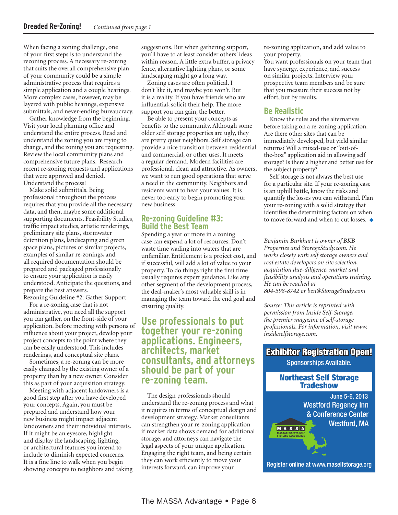When facing a zoning challenge, one of your first steps is to understand the rezoning process. A necessary re-zoning that suits the overall comprehensive plan of your community could be a simple administrative process that requires a simple application and a couple hearings. More complex cases, however, may be layered with public hearings, expensive submittals, and never-ending bureaucracy.

 Gather knowledge from the beginning. Visit your local planning office and understand the entire process. Read and understand the zoning you are trying to change, and the zoning you are requesting. Review the local community plans and comprehensive future plans. Research recent re-zoning requests and applications that were approved and denied. Understand the process!

 Make solid submittals. Being professional throughout the process requires that you provide all the necessary data, and then, maybe some additional supporting documents. Feasibility Studies, traffic impact studies, artistic renderings, preliminary site plans, stormwater detention plans, landscaping and green space plans, pictures of similar projects, examples of similar re-zonings, and all required documentation should be prepared and packaged professionally to ensure your application is easily understood. Anticipate the questions, and prepare the best answers. Rezoning Guideline #2: Gather Support

 For a re-zoning case that is not administrative, you need all the support you can gather, on the front-side of your application. Before meeting with persons of influence about your project, develop your project concepts to the point where they can be easily understood. This includes renderings, and conceptual site plans.

 Sometimes, a re-zoning can be more easily changed by the existing owner of a property than by a new owner. Consider this as part of your acquisition strategy.

 Meeting with adjacent landowners is a good first step after you have developed your concepts. Again, you must be prepared and understand how your new business might impact adjacent landowners and their individual interests. If it might be an eyesore, highlight and display the landscaping, lighting, or architectural features you intend to include to diminish expected concerns. It is a fine line to walk when you begin showing concepts to neighbors and taking suggestions. But when gathering support, you'll have to at least consider others' ideas within reason. A little extra buffer, a privacy fence, alternative lighting plans, or some landscaping might go a long way.

 Zoning cases are often political. I don't like it, and maybe you won't. But it is a reality. If you have friends who are influential, solicit their help. The more support you can gain, the better.

 Be able to present your concepts as benefits to the community. Although some older self storage properties are ugly, they are pretty quiet neighbors. Self storage can provide a nice transition between residential and commercial, or other uses. It meets a regular demand. Modern facilities are professional, clean and attractive. As owners, we want to run good operations that serve a need in the community. Neighbors and residents want to hear your values. It is never too early to begin promoting your new business.

### **Re-zoning Guideline #3: Build the Best Team**

Spending a year or more in a zoning case can expend a lot of resources. Don't waste time wading into waters that are unfamiliar. Entitlement is a project cost, and if successful, will add a lot of value to your property. To do things right the first time usually requires expert guidance. Like any other segment of the development process, the deal-maker's most valuable skill is in managing the team toward the end goal and ensuring quality.

### **Use professionals to put together your re-zoning applications. Engineers, architects, market consultants, and attorneys should be part of your re-zoning team.**

 The design professionals should understand the re-zoning process and what it requires in terms of conceptual design and development strategy. Market consultants can strengthen your re-zoning application if market data shows demand for additional storage, and attorneys can navigate the legal aspects of your unique application. Engaging the right team, and being certain they can work efficiently to move your interests forward, can improve your

re-zoning application, and add value to your property.

You want professionals on your team that have synergy, experience, and success on similar projects. Interview your prospective team members and be sure that you measure their success not by effort, but by results.

### **Be Realistic**

 Know the rules and the alternatives before taking on a re-zoning application. Are there other sites that can be immediately developed, but yield similar returns? Will a mixed-use or "out-ofthe-box" application aid in allowing self storage? Is there a higher and better use for the subject property?

 Self storage is not always the best use for a particular site. If your re-zoning case is an uphill battle, know the risks and quantify the losses you can withstand. Plan your re-zoning with a solid strategy that identifies the determining factors on when to move forward and when to cut losses.  $\triangle$ 

*Benjamin Burkhart is owner of BKB Properties and StorageStudy.com. He works closely with self storage owners and real estate developers on site selection, acquisition due-diligence, market and feasibility analysis and operations training. He can be reached at 804-598-8742 or ben@StorageStudy.com*

*Source: This article is reprinted with permission from Inside Self-Storage, the premier magazine of self-storage professionals. For information, visit www. insideselfstorage.com.*

## Exhibitor Registration Open!

### Sponsorships Available.

### Northeast Self Storage **Tradeshow**

Register online at www.maselfstorage.org

June 5-6, 2013 Westford Regency Inn & Conference Center Westford, MA  $M|A|S|S|A$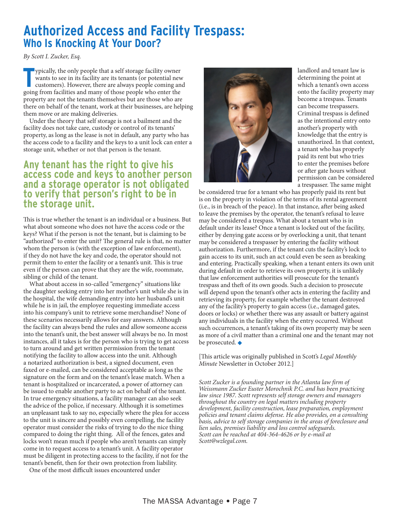### **Authorized Access and Facility Trespass: Who Is Knocking At Your Door?**

*By Scott I. Zucker, Esq.*

ppically, the only people that a self storage facility owner wants to see in its facility are its tenants (or potential new customers). However, there are always people coming an going from facilities and many of those peo ypically, the only people that a self storage facility owner wants to see in its facility are its tenants (or potential new customers). However, there are always people coming and property are not the tenants themselves but are those who are there on behalf of the tenant, work at their businesses, are helping them move or are making deliveries.

 Under the theory that self storage is not a bailment and the facility does not take care, custody or control of its tenants' property, as long as the lease is not in default, any party who has the access code to a facility and the keys to a unit lock can enter a storage unit, whether or not that person is the tenant.

### **Any tenant has the right to give his access code and keys to another person and a storage operator is not obligated to verify that person's right to be in the storage unit.**

This is true whether the tenant is an individual or a business. But what about someone who does not have the access code or the keys? What if the person is not the tenant, but is claiming to be "authorized" to enter the unit? The general rule is that, no matter whom the person is (with the exception of law enforcement), if they do not have the key and code, the operator should not permit them to enter the facility or a tenant's unit. This is true even if the person can prove that they are the wife, roommate, sibling or child of the tenant.

 What about access in so-called "emergency" situations like the daughter seeking entry into her mother's unit while she is in the hospital, the wife demanding entry into her husband's unit while he is in jail, the employee requesting immediate access into his company's unit to retrieve some merchandise? None of these scenarios necessarily allows for easy answers. Although the facility can always bend the rules and allow someone access into the tenant's unit, the best answer will always be no. In most instances, all it takes is for the person who is trying to get access to turn around and get written permission from the tenant notifying the facility to allow access into the unit. Although a notarized authorization is best, a signed document, even faxed or e-mailed, can be considered acceptable as long as the signature on the form and on the tenant's lease match. When a tenant is hospitalized or incarcerated, a power of attorney can be issued to enable another party to act on behalf of the tenant. In true emergency situations, a facility manager can also seek the advice of the police, if necessary. Although it is sometimes an unpleasant task to say no, especially where the plea for access to the unit is sincere and possibly even compelling, the facility operator must consider the risks of trying to do the nice thing compared to doing the right thing. All of the fences, gates and locks won't mean much if people who aren't tenants can simply come in to request access to a tenant's unit. A facility operator must be diligent in protecting access to the facility, if not for the tenant's benefit, then for their own protection from liability.

One of the most difficult issues encountered under



landlord and tenant law is determining the point at which a tenant's own access onto the facility property may become a trespass. Tenants can become trespassers. Criminal trespass is defined as the intentional entry onto another's property with knowledge that the entry is unauthorized. In that context, a tenant who has properly paid its rent but who tries to enter the premises before or after gate hours without permission can be considered a trespasser. The same might

be considered true for a tenant who has properly paid its rent but is on the property in violation of the terms of its rental agreement (i.e., is in breach of the peace). In that instance, after being asked to leave the premises by the operator, the tenant's refusal to leave may be considered a trespass. What about a tenant who is in default under its lease? Once a tenant is locked out of the facility, either by denying gate access or by overlocking a unit, that tenant may be considered a trespasser by entering the facility without authorization. Furthermore, if the tenant cuts the facility's lock to gain access to its unit, such an act could even be seen as breaking and entering. Practically speaking, when a tenant enters its own unit during default in order to retrieve its own property, it is unlikely that law enforcement authorities will prosecute for the tenant's trespass and theft of its own goods. Such a decision to prosecute will depend upon the tenant's other acts in entering the facility and retrieving its property, for example whether the tenant destroyed any of the facility's property to gain access (i.e., damaged gates, doors or locks) or whether there was any assault or battery against any individuals in the facility when the entry occurred. Without such occurrences, a tenant's taking of its own property may be seen as more of a civil matter than a criminal one and the tenant may not be prosecuted.  $\blacklozenge$ 

[This article was originally published in Scott's *Legal Monthly Minute* Newsletter in October 2012.]

*Scott Zucker is a founding partner in the Atlanta law firm of Weissmann Zucker Euster Morochnik P.C. and has been practicing law since 1987. Scott represents self storage owners and managers throughout the country on legal matters including property development, facility construction, lease preparation, employment policies and tenant claims defense. He also provides, on a consulting basis, advice to self storage companies in the areas of foreclosure and lien sales, premises liability and loss control safeguards. Scott can be reached at 404-364-4626 or by e-mail at Scott@wzlegal.com.*